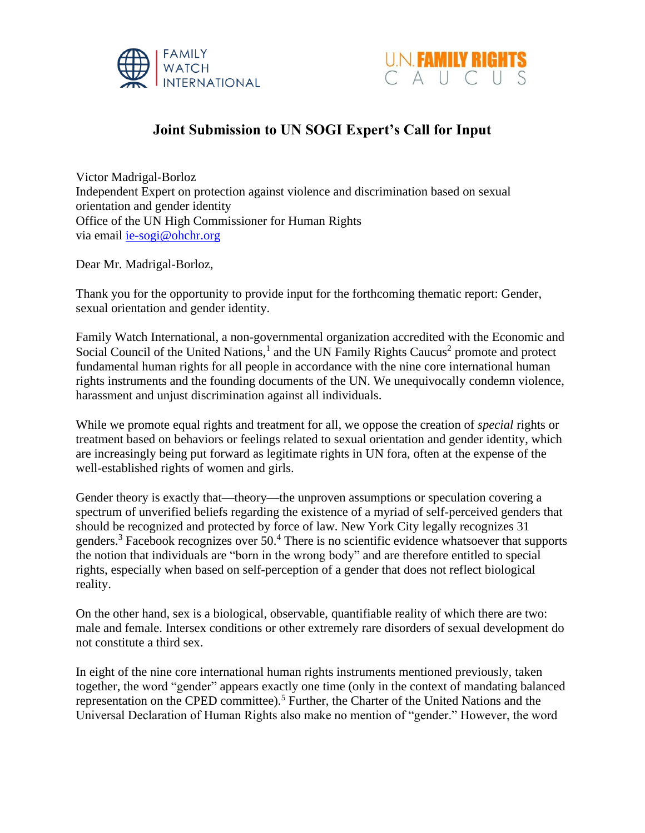



## **Joint Submission to UN SOGI Expert's Call for Input**

Victor Madrigal-Borloz Independent Expert on protection against violence and discrimination based on sexual orientation and gender identity Office of the UN High Commissioner for Human Rights via email [ie-sogi@ohchr.org](mailto:ie-sogi@ohchr.org)

Dear Mr. Madrigal-Borloz,

Thank you for the opportunity to provide input for the forthcoming thematic report: Gender, sexual orientation and gender identity.

Family Watch International, a non-governmental organization accredited with the Economic and Social Council of the United Nations,<sup>1</sup> and the UN Family Rights Caucus<sup>2</sup> promote and protect fundamental human rights for all people in accordance with the nine core international human rights instruments and the founding documents of the UN. We unequivocally condemn violence, harassment and unjust discrimination against all individuals.

While we promote equal rights and treatment for all, we oppose the creation of *special* rights or treatment based on behaviors or feelings related to sexual orientation and gender identity, which are increasingly being put forward as legitimate rights in UN fora, often at the expense of the well-established rights of women and girls.

Gender theory is exactly that—theory—the unproven assumptions or speculation covering a spectrum of unverified beliefs regarding the existence of a myriad of self-perceived genders that should be recognized and protected by force of law. New York City legally recognizes 31 genders.<sup>3</sup> Facebook recognizes over 50.<sup>4</sup> There is no scientific evidence whatsoever that supports the notion that individuals are "born in the wrong body" and are therefore entitled to special rights, especially when based on self-perception of a gender that does not reflect biological reality.

On the other hand, sex is a biological, observable, quantifiable reality of which there are two: male and female. Intersex conditions or other extremely rare disorders of sexual development do not constitute a third sex.

In eight of the nine core international human rights instruments mentioned previously, taken together, the word "gender" appears exactly one time (only in the context of mandating balanced representation on the CPED committee).<sup>5</sup> Further, the Charter of the United Nations and the Universal Declaration of Human Rights also make no mention of "gender." However, the word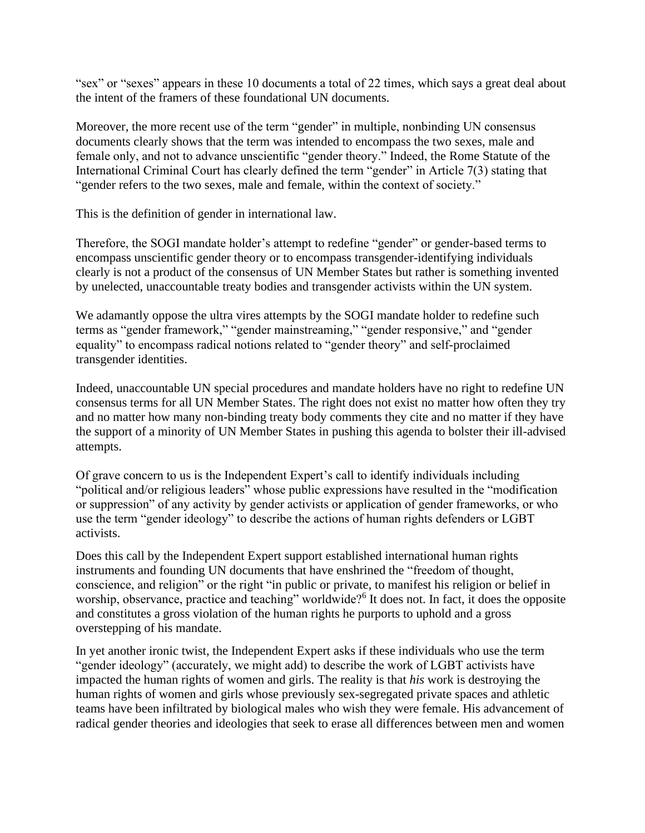"sex" or "sexes" appears in these 10 documents a total of 22 times, which says a great deal about the intent of the framers of these foundational UN documents.

Moreover, the more recent use of the term "gender" in multiple, nonbinding UN consensus documents clearly shows that the term was intended to encompass the two sexes, male and female only, and not to advance unscientific "gender theory." Indeed, the Rome Statute of the International Criminal Court has clearly defined the term "gender" in Article 7(3) stating that "gender refers to the two sexes, male and female, within the context of society."

This is the definition of gender in international law.

Therefore, the SOGI mandate holder's attempt to redefine "gender" or gender-based terms to encompass unscientific gender theory or to encompass transgender-identifying individuals clearly is not a product of the consensus of UN Member States but rather is something invented by unelected, unaccountable treaty bodies and transgender activists within the UN system.

We adamantly oppose the ultra vires attempts by the SOGI mandate holder to redefine such terms as "gender framework," "gender mainstreaming," "gender responsive," and "gender equality" to encompass radical notions related to "gender theory" and self-proclaimed transgender identities.

Indeed, unaccountable UN special procedures and mandate holders have no right to redefine UN consensus terms for all UN Member States. The right does not exist no matter how often they try and no matter how many non-binding treaty body comments they cite and no matter if they have the support of a minority of UN Member States in pushing this agenda to bolster their ill-advised attempts.

Of grave concern to us is the Independent Expert's call to identify individuals including "political and/or religious leaders" whose public expressions have resulted in the "modification or suppression" of any activity by gender activists or application of gender frameworks, or who use the term "gender ideology" to describe the actions of human rights defenders or LGBT activists.

Does this call by the Independent Expert support established international human rights instruments and founding UN documents that have enshrined the "freedom of thought, conscience, and religion" or the right "in public or private, to manifest his religion or belief in worship, observance, practice and teaching" worldwide?<sup>6</sup> It does not. In fact, it does the opposite and constitutes a gross violation of the human rights he purports to uphold and a gross overstepping of his mandate.

In yet another ironic twist, the Independent Expert asks if these individuals who use the term "gender ideology" (accurately, we might add) to describe the work of LGBT activists have impacted the human rights of women and girls. The reality is that *his* work is destroying the human rights of women and girls whose previously sex-segregated private spaces and athletic teams have been infiltrated by biological males who wish they were female. His advancement of radical gender theories and ideologies that seek to erase all differences between men and women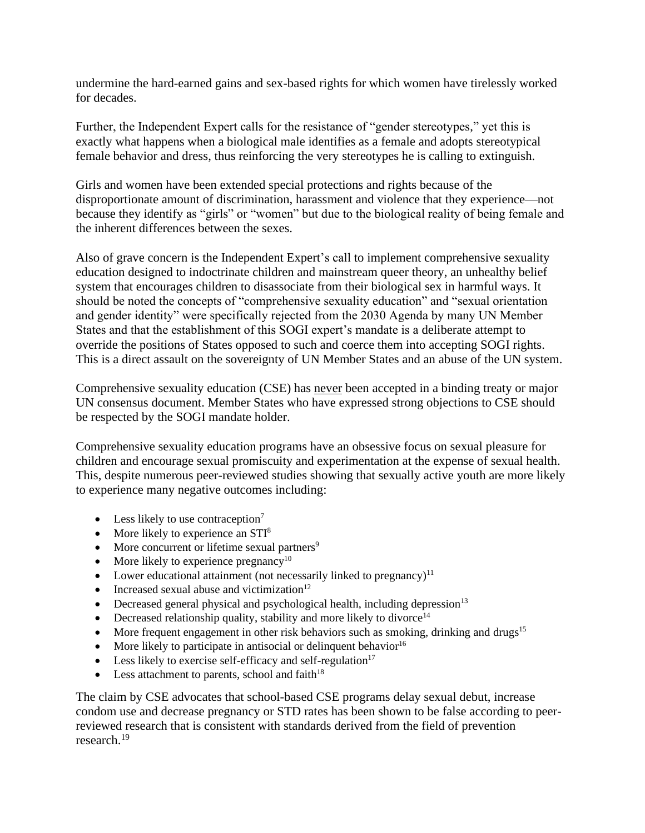undermine the hard-earned gains and sex-based rights for which women have tirelessly worked for decades.

Further, the Independent Expert calls for the resistance of "gender stereotypes," yet this is exactly what happens when a biological male identifies as a female and adopts stereotypical female behavior and dress, thus reinforcing the very stereotypes he is calling to extinguish.

Girls and women have been extended special protections and rights because of the disproportionate amount of discrimination, harassment and violence that they experience—not because they identify as "girls" or "women" but due to the biological reality of being female and the inherent differences between the sexes.

Also of grave concern is the Independent Expert's call to implement comprehensive sexuality education designed to indoctrinate children and mainstream queer theory, an unhealthy belief system that encourages children to disassociate from their biological sex in harmful ways. It should be noted the concepts of "comprehensive sexuality education" and "sexual orientation and gender identity" were specifically rejected from the 2030 Agenda by many UN Member States and that the establishment of this SOGI expert's mandate is a deliberate attempt to override the positions of States opposed to such and coerce them into accepting SOGI rights. This is a direct assault on the sovereignty of UN Member States and an abuse of the UN system.

Comprehensive sexuality education (CSE) has never been accepted in a binding treaty or major UN consensus document. Member States who have expressed strong objections to CSE should be respected by the SOGI mandate holder.

Comprehensive sexuality education programs have an obsessive focus on sexual pleasure for children and encourage sexual promiscuity and experimentation at the expense of sexual health. This, despite numerous peer-reviewed studies showing that sexually active youth are more likely to experience many negative outcomes including:

- Less likely to use contraception<sup>7</sup>
- More likely to experience an  $STI<sup>8</sup>$
- More concurrent or lifetime sexual partners<sup>9</sup>
- More likely to experience pregnancy<sup>10</sup>
- Lower educational attainment (not necessarily linked to pregnancy) $11$
- Increased sexual abuse and victimization $12$
- Decreased general physical and psychological health, including depression<sup>13</sup>
- Decreased relationship quality, stability and more likely to divorce<sup>14</sup>
- More frequent engagement in other risk behaviors such as smoking, drinking and drugs<sup>15</sup>
- More likely to participate in antisocial or delinquent behavior $16$
- Less likely to exercise self-efficacy and self-regulation $17$
- Less attachment to parents, school and  $faith^{18}$

The claim by CSE advocates that school-based CSE programs delay sexual debut, increase condom use and decrease pregnancy or STD rates has been shown to be false according to peerreviewed research that is consistent with standards derived from the field of prevention research. 19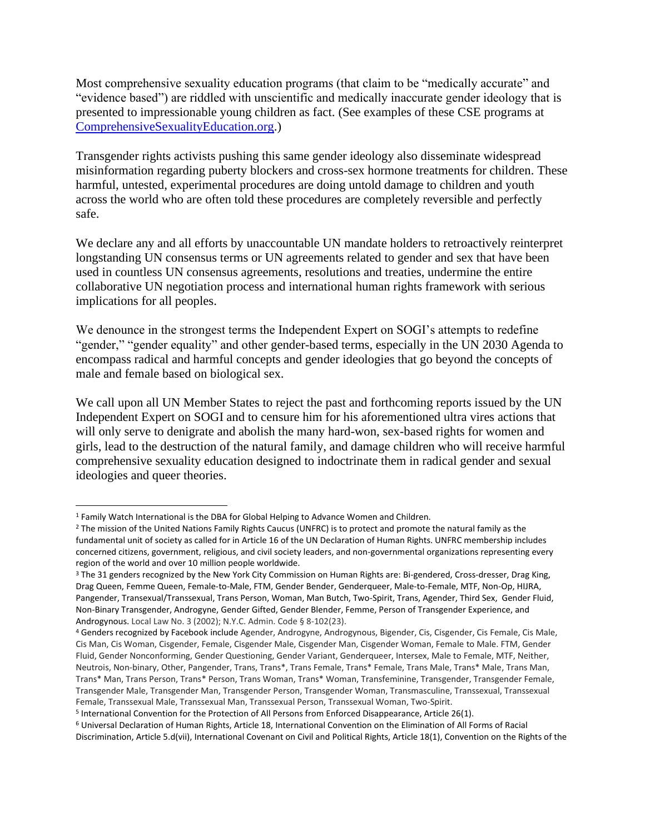Most comprehensive sexuality education programs (that claim to be "medically accurate" and "evidence based") are riddled with unscientific and medically inaccurate gender ideology that is presented to impressionable young children as fact. (See examples of these CSE programs at [ComprehensiveSexualityEducation.org.](https://www.comprehensivesexualityeducation.org/))

Transgender rights activists pushing this same gender ideology also disseminate widespread misinformation regarding puberty blockers and cross-sex hormone treatments for children. These harmful, untested, experimental procedures are doing untold damage to children and youth across the world who are often told these procedures are completely reversible and perfectly safe.

We declare any and all efforts by unaccountable UN mandate holders to retroactively reinterpret longstanding UN consensus terms or UN agreements related to gender and sex that have been used in countless UN consensus agreements, resolutions and treaties, undermine the entire collaborative UN negotiation process and international human rights framework with serious implications for all peoples.

We denounce in the strongest terms the Independent Expert on SOGI's attempts to redefine "gender," "gender equality" and other gender-based terms, especially in the UN 2030 Agenda to encompass radical and harmful concepts and gender ideologies that go beyond the concepts of male and female based on biological sex.

We call upon all UN Member States to reject the past and forthcoming reports issued by the UN Independent Expert on SOGI and to censure him for his aforementioned ultra vires actions that will only serve to denigrate and abolish the many hard-won, sex-based rights for women and girls, lead to the destruction of the natural family, and damage children who will receive harmful comprehensive sexuality education designed to indoctrinate them in radical gender and sexual ideologies and queer theories.

<sup>1</sup> Family Watch International is the DBA for Global Helping to Advance Women and Children.

<sup>&</sup>lt;sup>2</sup> The mission of the United Nations Family Rights Caucus (UNFRC) is to protect and promote the natural family as the fundamental unit of society as called for in Article 16 of the UN Declaration of Human Rights. UNFRC membership includes concerned citizens, government, religious, and civil society leaders, and non-governmental organizations representing every region of the world and over 10 million people worldwide.

<sup>3</sup> The 31 genders recognized by the New York City Commission on Human Rights are: Bi-gendered, Cross-dresser, Drag King, Drag Queen, Femme Queen, Female-to-Male, FTM, Gender Bender, Genderqueer, Male-to-Female, MTF, Non-Op, HIJRA, Pangender, Transexual/Transsexual, Trans Person, Woman, Man Butch, Two-Spirit, Trans, Agender, Third Sex, Gender Fluid, Non-Binary Transgender, Androgyne, Gender Gifted, Gender Blender, Femme, Person of Transgender Experience, and Androgynous. Local Law No. 3 (2002); N.Y.C. Admin. Code § 8-102(23).

<sup>4</sup> Genders recognized by Facebook include Agender, Androgyne, Androgynous, Bigender, Cis, Cisgender, Cis Female, Cis Male, Cis Man, Cis Woman, Cisgender, Female, Cisgender Male, Cisgender Man, Cisgender Woman, Female to Male. FTM, Gender Fluid, Gender Nonconforming, Gender Questioning, Gender Variant, Genderqueer, Intersex, Male to Female, MTF, Neither, Neutrois, Non-binary, Other, Pangender, Trans, Trans\*, Trans Female, Trans\* Female, Trans Male, Trans\* Male, Trans Man, Trans\* Man, Trans Person, Trans\* Person, Trans Woman, Trans\* Woman, Transfeminine, Transgender, Transgender Female, Transgender Male, Transgender Man, Transgender Person, Transgender Woman, Transmasculine, Transsexual, Transsexual Female, Transsexual Male, Transsexual Man, Transsexual Person, Transsexual Woman, Two-Spirit.

<sup>&</sup>lt;sup>5</sup> International Convention for the Protection of All Persons from Enforced Disappearance, Article 26(1).

<sup>6</sup> Universal Declaration of Human Rights, Article 18, International Convention on the Elimination of All Forms of Racial Discrimination, Article 5.d(vii), International Covenant on Civil and Political Rights, Article 18(1), Convention on the Rights of the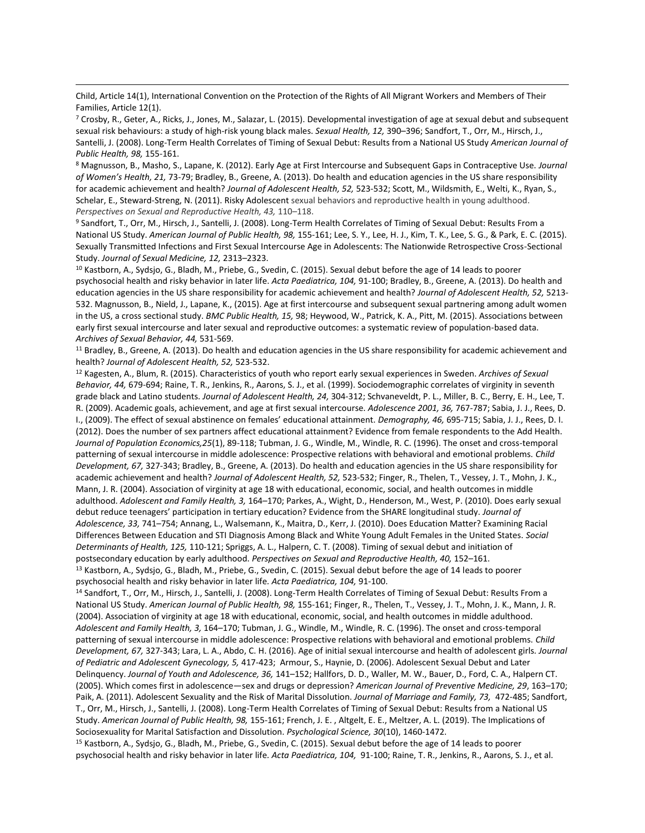Child, Article 14(1), International Convention on the Protection of the Rights of All Migrant Workers and Members of Their Families, Article 12(1).

<sup>7</sup> Crosby, R., Geter, A., Ricks, J., Jones, M., Salazar, L. (2015). Developmental investigation of age at sexual debut and subsequent sexual risk behaviours: a study of high-risk young black males. *Sexual Health, 12,* 390–396; Sandfort, T., Orr, M., Hirsch, J., Santelli, J. (2008). Long-Term Health Correlates of Timing of Sexual Debut: Results from a National US Study *American Journal of Public Health, 98,* 155-161.

<sup>8</sup> Magnusson, B., Masho, S., Lapane, K. (2012). Early Age at First Intercourse and Subsequent Gaps in Contraceptive Use. *Journal of Women's Health, 21,* 73-79; Bradley, B., Greene, A. (2013). Do health and education agencies in the US share responsibility for academic achievement and health? *Journal of Adolescent Health, 52,* 523-532; Scott, M., Wildsmith, E., Welti, K., Ryan, S., Schelar, E., Steward-Streng, N. (2011). Risky Adolescent sexual behaviors and reproductive health in young adulthood. *Perspectives on Sexual and Reproductive Health, 43,* 110–118.

<sup>9</sup> Sandfort, T., Orr, M., Hirsch, J., Santelli, J. (2008). Long-Term Health Correlates of Timing of Sexual Debut: Results From a National US Study. *American Journal of Public Health, 98,* 155-161; Lee, S. Y., Lee, H. J., Kim, T. K., Lee, S. G., & Park, E. C. (2015). Sexually Transmitted Infections and First Sexual Intercourse Age in Adolescents: The Nationwide Retrospective Cross-Sectional Study. *Journal of Sexual Medicine, 12,* 2313–2323.

<sup>10</sup> Kastborn, A., Sydsjo, G., Bladh, M., Priebe, G., Svedin, C. (2015). Sexual debut before the age of 14 leads to poorer psychosocial health and risky behavior in later life. *Acta Paediatrica, 104,* 91-100; Bradley, B., Greene, A. (2013). Do health and education agencies in the US share responsibility for academic achievement and health? *Journal of Adolescent Health, 52,* 5213- 532. Magnusson, B., Nield, J., Lapane, K., (2015). Age at first intercourse and subsequent sexual partnering among adult women in the US, a cross sectional study. *BMC Public Health, 15,* 98; Heywood, W., Patrick, K. A., Pitt, M. (2015). Associations between early first sexual intercourse and later sexual and reproductive outcomes: a systematic review of population-based data. *Archives of Sexual Behavior, 44,* 531-569.

<sup>11</sup> Bradley, B., Greene, A. (2013). Do health and education agencies in the US share responsibility for academic achievement and health? *Journal of Adolescent Health, 52,* 523-532.

<sup>12</sup> Kagesten, A., Blum, R. (2015). Characteristics of youth who report early sexual experiences in Sweden. *Archives of Sexual Behavior, 44,* 679-694; Raine, T. R., Jenkins, R., Aarons, S. J., et al. (1999). Sociodemographic correlates of virginity in seventh grade black and Latino students. *Journal of Adolescent Health, 24,* 304-312; Schvaneveldt, P. L., Miller, B. C., Berry, E. H., Lee, T. R. (2009). Academic goals, achievement, and age at first sexual intercourse. *Adolescence 2001, 36,* 767-787; Sabia, J. J., Rees, D. I., (2009). The effect of sexual abstinence on females' educational attainment. *Demography, 46,* 695-715; Sabia, J. J., Rees, D. I. (2012). Does the number of sex partners affect educational attainment? Evidence from female respondents to the Add Health. *Journal of Population Economics,25*(1), 89-118; Tubman, J. G., Windle, M., Windle, R. C. (1996). The onset and cross-temporal patterning of sexual intercourse in middle adolescence: Prospective relations with behavioral and emotional problems. *Child Development, 67,* 327-343; Bradley, B., Greene, A. (2013). Do health and education agencies in the US share responsibility for academic achievement and health? *Journal of Adolescent Health, 52,* 523-532; Finger, R., Thelen, T., Vessey, J. T., Mohn, J. K., Mann, J. R. (2004). Association of virginity at age 18 with educational, economic, social, and health outcomes in middle adulthood. *Adolescent and Family Health, 3,* 164–170; Parkes, A., Wight, D., Henderson, M., West, P. (2010). Does early sexual debut reduce teenagers' participation in tertiary education? Evidence from the SHARE longitudinal study. *Journal of Adolescence, 33,* 741–754; Annang, L., Walsemann, K., Maitra, D., Kerr, J. (2010). Does Education Matter? Examining Racial Differences Between Education and STI Diagnosis Among Black and White Young Adult Females in the United States. *Social Determinants of Health, 125,* 110-121; Spriggs, A. L., Halpern, C. T. (2008). Timing of sexual debut and initiation of postsecondary education by early adulthood. *Perspectives on Sexual and Reproductive Health, 40,* 152–161. <sup>13</sup> Kastborn, A., Sydsjo, G., Bladh, M., Priebe, G., Svedin, C. (2015). Sexual debut before the age of 14 leads to poorer psychosocial health and risky behavior in later life*. Acta Paediatrica, 104,* 91-100.

<sup>14</sup> Sandfort, T., Orr, M., Hirsch, J., Santelli, J. (2008). Long-Term Health Correlates of Timing of Sexual Debut: Results From a National US Study. *American Journal of Public Health, 98,* 155-161; Finger, R., Thelen, T., Vessey, J. T., Mohn, J. K., Mann, J. R. (2004). Association of virginity at age 18 with educational, economic, social, and health outcomes in middle adulthood. *Adolescent and Family Health, 3,* 164–170; Tubman, J. G., Windle, M., Windle, R. C. (1996). The onset and cross-temporal patterning of sexual intercourse in middle adolescence: Prospective relations with behavioral and emotional problems. *Child Development, 67,* 327-343; Lara, L. A., Abdo, C. H. (2016). Age of initial sexual intercourse and health of adolescent girls*. Journal of Pediatric and Adolescent Gynecology, 5,* 417-423; Armour, S., Haynie, D. (2006). Adolescent Sexual Debut and Later Delinquency. *Journal of Youth and Adolescence, 36,* 141–152; Hallfors, D. D., Waller, M. W., Bauer, D., Ford, C. A., Halpern CT. (2005). Which comes first in adolescence—sex and drugs or depression? *American Journal of Preventive Medicine, 29*, 163–170; Paik, A. (2011). Adolescent Sexuality and the Risk of Marital Dissolution. *Journal of Marriage and Family, 73,* 472-485; Sandfort, T., Orr, M., Hirsch, J., Santelli, J. (2008). Long-Term Health Correlates of Timing of Sexual Debut: Results from a National US Study. *American Journal of Public Health, 98,* 155-161; French, J. E. , Altgelt, E. E., Meltzer, A. L. (2019). The Implications of Sociosexuality for Marital Satisfaction and Dissolution. *Psychological Science, 30*(10), 1460-1472.

<sup>15</sup> Kastborn, A., Sydsjo, G., Bladh, M., Priebe, G., Svedin, C. (2015). Sexual debut before the age of 14 leads to poorer psychosocial health and risky behavior in later life*. Acta Paediatrica, 104,* 91-100; Raine, T. R., Jenkins, R., Aarons, S. J., et al.